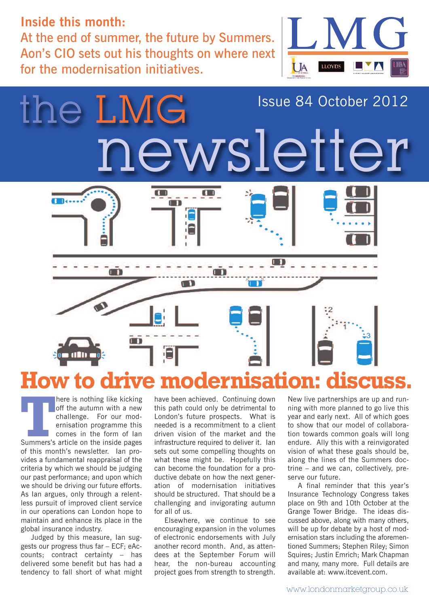#### **Inside this month:**

At the end of summer, the future by Summers. Aon's CIO sets out his thoughts on where next for the modernisation initiatives.





**There is nothing like kicking**<br>
off the autumn with a new<br>
challenge. For our mod-<br>
ernisation programme this<br>
comes in the form of lan<br>
Summers's article on the inside pages off the autumn with a new challenge. For our modernisation programme this comes in the form of lan Summers's article on the inside pages of this month's newsletter. Ian provides a fundamental reappraisal of the criteria by which we should be judging our past performance; and upon which we should be driving our future efforts. As Ian argues, only through a relentless pursuit of improved client service in our operations can London hope to maintain and enhance its place in the global insurance industry.

Judged by this measure, Ian suggests our progress thus far – ECF; eAccounts; contract certainty – has delivered some benefit but has had a tendency to fall short of what might

have been achieved. Continuing down this path could only be detrimental to London's future prospects. What is needed is a recommitment to a client driven vision of the market and the infrastructure required to deliver it. Ian sets out some compelling thoughts on what these might be. Hopefully this can become the foundation for a productive debate on how the next generation of modernisation initiatives should be structured. That should be a challenging and invigorating autumn for all of us.

Elsewhere, we continue to see encouraging expansion in the volumes of electronic endorsements with July another record month. And, as attendees at the September Forum will hear, the non-bureau accounting project goes from strength to strength.

New live partnerships are up and running with more planned to go live this year and early next. All of which goes to show that our model of collaboration towards common goals will long endure. Ally this with a reinvigorated vision of what these goals should be, along the lines of the Summers doctrine – and we can, collectively, preserve our future.

A final reminder that this year's Insurance Technology Congress takes place on 9th and 10th October at the Grange Tower Bridge. The ideas discussed above, along with many others, will be up for debate by a host of modernisation stars including the aforementioned Summers; Stephen Riley; Simon Squires; Justin Emrich; Mark Chapman and many, many more. Full details are available at: www.itcevent.com.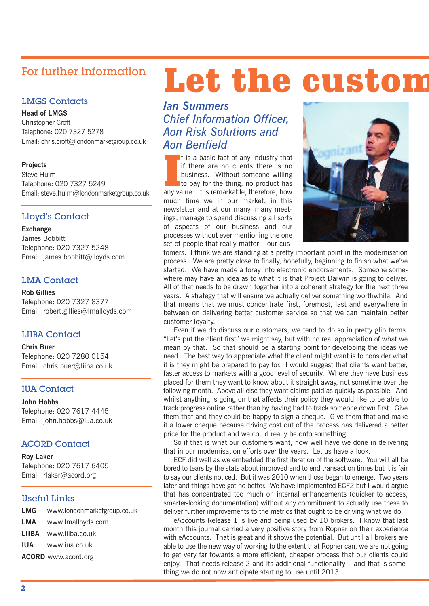#### For further information

#### LMGS Contacts

**Head of LMGS**

Christopher Croft Telephone: 020 7327 5278 Email: chris.croft@londonmarketgroup.co.uk

#### **Projects**

Steve Hulm Telephone: 020 7327 5249 Email: steve.hulm@londonmarketgroup.co.uk

#### Lloyd's Contact

#### **Exchange**

James Bobbitt Telephone: 020 7327 5248 Email: james.bobbitt@lloyds.com

#### LMA Contact

**Rob Gillies**

Telephone: 020 7327 8377 Email: robert.gillies@lmalloyds.com

#### LIIBA Contact

**Chris Buer** Telephone: 020 7280 0154 Email: chris.buer@liiba.co.uk

#### IUA Contact

**John Hobbs** Telephone: 020 7617 4445 Email: john.hobbs@iua.co.uk

#### ACORD Contact

**Roy Laker** Telephone: 020 7617 6405 Email: rlaker@acord.org

#### Useful Links

| <b>LMG</b> www.londonmarketgroup.co.uk |
|----------------------------------------|
| <b>LMA</b> www.lmalloyds.com           |
| LIIBA www.liiba.co.uk                  |
| <b>IUA</b> www.iua.co.uk               |
| <b>ACORD</b> www.acord.org             |

## **Let the custom**

*Ian Summers Chief Information Officer, Aon Risk Solutions and Aon Benfield*

It is a basic fact of any industry that<br>if there are no clients there is no<br>business. Without someone willing<br>to pay for the thing, no product has<br>any value. It is remarkable, therefore, how It is a basic fact of any industry that if there are no clients there is no business. Without someone willing to pay for the thing, no product has much time we in our market, in this newsletter and at our many, many meetings, manage to spend discussing all sorts of aspects of our business and our processes without ever mentioning the one set of people that really matter – our cus-



tomers. I think we are standing at a pretty important point in the modernisation process. We are pretty close to finally, hopefully, beginning to finish what we've started. We have made a foray into electronic endorsements. Someone somewhere may have an idea as to what it is that Project Darwin is going to deliver. All of that needs to be drawn together into a coherent strategy for the next three years. A strategy that will ensure we actually deliver something worthwhile. And that means that we must concentrate first, foremost, last and everywhere in between on delivering better customer service so that we can maintain better customer loyalty.

Even if we do discuss our customers, we tend to do so in pretty glib terms. "Let's put the client first" we might say, but with no real appreciation of what we mean by that. So that should be a starting point for developing the ideas we need. The best way to appreciate what the client might want is to consider what it is they might be prepared to pay for. I would suggest that clients want better, faster access to markets with a good level of security. Where they have business placed for them they want to know about it straight away, not sometime over the following month. Above all else they want claims paid as quickly as possible. And whilst anything is going on that affects their policy they would like to be able to track progress online rather than by having had to track someone down first. Give them that and they could be happy to sign a cheque. Give them that and make it a lower cheque because driving cost out of the process has delivered a better price for the product and we could really be onto something.

So if that is what our customers want, how well have we done in delivering that in our modernisation efforts over the years. Let us have a look.

ECF did well as we embedded the first iteration of the software. You will all be bored to tears by the stats about improved end to end transaction times but it is fair to say our clients noticed. But it was 2010 when those began to emerge. Two years later and things have got no better. We have implemented ECF2 but I would argue that has concentrated too much on internal enhancements (quicker to access, smarter-looking documentation) without any commitment to actually use these to deliver further improvements to the metrics that ought to be driving what we do.

eAccounts Release 1 is live and being used by 10 brokers. I know that last month this journal carried a very positive story from Ropner on their experience with eAccounts. That is great and it shows the potential. But until all brokers are able to use the new way of working to the extent that Ropner can, we are not going to get very far towards a more efficient, cheaper process that our clients could enjoy. That needs release 2 and its additional functionality – and that is something we do not now anticipate starting to use until 2013.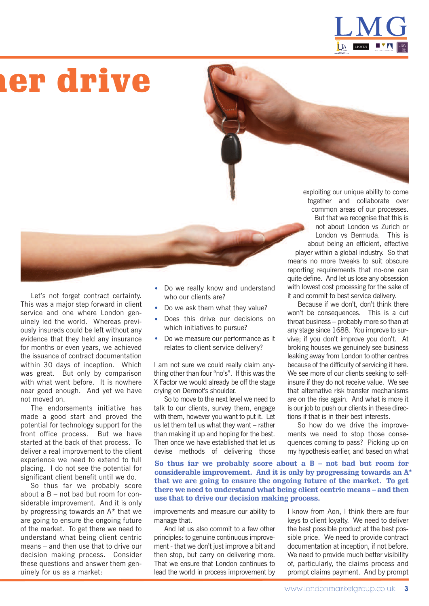

## **mer drive**

exploiting our unique ability to come together and collaborate over common areas of our processes. But that we recognise that this is not about London vs Zurich or London vs Bermuda. This is about being an efficient, effective player within a global industry. So that means no more tweaks to suit obscure reporting requirements that no-one can quite define. And let us lose any obsession with lowest cost processing for the sake of it and commit to best service delivery.

Because if we don't, don't think there won't be consequences. This is a cut throat business – probably more so than at any stage since 1688. You improve to survive; if you don't improve you don't. At broking houses we genuinely see business leaking away from London to other centres because of the difficulty of servicing it here. We see more of our clients seeking to selfinsure if they do not receive value. We see that alternative risk transfer mechanisms are on the rise again. And what is more it is our job to push our clients in these directions if that is in their best interests.

So how do we drive the improvements we need to stop those consequences coming to pass? Picking up on my hypothesis earlier, and based on what

**So thus far we probably score about a B – not bad but room for considerable improvement. And it is only by progressing towards an A\* that we are going to ensure the ongoing future of the market. To get there we need to understand what being client centric means – and then use that to drive our decision making process.**

improvements and measure our ability to manage that.

• Do we really know and understand

• Do we measure our performance as it relates to client service delivery?

I am not sure we could really claim anything other than four "no's". If this was the X Factor we would already be off the stage

So to move to the next level we need to talk to our clients, survey them, engage with them, however you want to put it. Let us let them tell us what they want – rather than making it up and hoping for the best. Then once we have established that let us devise methods of delivering those

• Do we ask them what they value? • Does this drive our decisions on which initiatives to pursue?

who our clients are?

crying on Dermot's shoulder.

And let us also commit to a few other principles: to genuine continuous improvement - that we don't just improve a bit and then stop, but carry on delivering more. That we ensure that London continues to lead the world in process improvement by

I know from Aon, I think there are four keys to client loyalty. We need to deliver the best possible product at the best possible price. We need to provide contract documentation at inception, if not before. We need to provide much better visibility of, particularly, the claims process and prompt claims payment. And by prompt

Let's not forget contract certainty. This was a major step forward in client service and one where London genuinely led the world. Whereas previously insureds could be left without any evidence that they held any insurance for months or even years, we achieved the issuance of contract documentation within 30 days of inception. Which was great. But only by comparison with what went before. It is nowhere near good enough. And yet we have not moved on.

The endorsements initiative has made a good start and proved the potential for technology support for the front office process. But we have started at the back of that process. To deliver a real improvement to the client experience we need to extend to full placing. I do not see the potential for significant client benefit until we do.

So thus far we probably score about a B – not bad but room for considerable improvement. And it is only by progressing towards an A\* that we are going to ensure the ongoing future of the market. To get there we need to understand what being client centric means – and then use that to drive our decision making process. Consider these questions and answer them genuinely for us as a market: